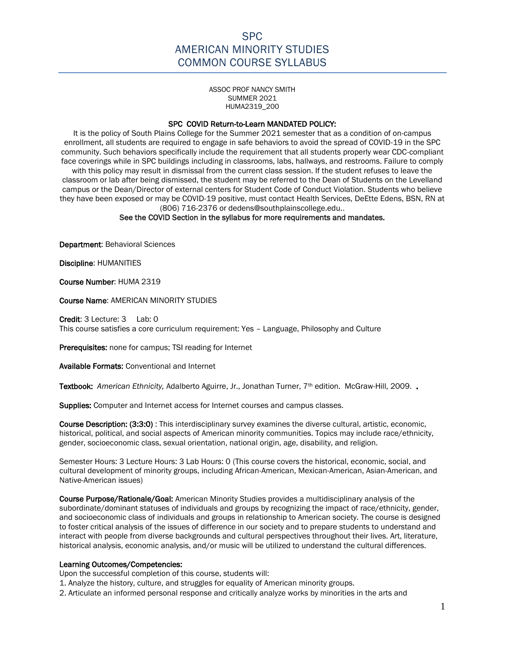ASSOC PROF NANCY SMITH SUMMER 2021 HUMA2319\_200

#### SPC COVID Return-to-Learn MANDATED POLICY:

It is the policy of South Plains College for the Summer 2021 semester that as a condition of on-campus enrollment, all students are required to engage in safe behaviors to avoid the spread of COVID-19 in the SPC community. Such behaviors specifically include the requirement that all students properly wear CDC-compliant face coverings while in SPC buildings including in classrooms, labs, hallways, and restrooms. Failure to comply with this policy may result in dismissal from the current class session. If the student refuses to leave the classroom or lab after being dismissed, the student may be referred to the Dean of Students on the Levelland campus or the Dean/Director of external centers for Student Code of Conduct Violation. Students who believe they have been exposed or may be COVID-19 positive, must contact Health Services, DeEtte Edens, BSN, RN at (806) 716-2376 or dedens@southplainscollege.edu..

#### See the COVID Section in the syllabus for more requirements and mandates.

Department: Behavioral Sciences

Discipline: HUMANITIES

Course Number: HUMA 2319

Course Name: AMERICAN MINORITY STUDIES

Credit: 3 Lecture: 3 Lab: 0 This course satisfies a core curriculum requirement: Yes – Language, Philosophy and Culture

Prerequisites: none for campus; TSI reading for Internet

Available Formats: Conventional and Internet

Textbook: American Ethnicity, Adalberto Aguirre, Jr., Jonathan Turner, 7<sup>th</sup> edition. McGraw-Hill, 2009.

Supplies: Computer and Internet access for Internet courses and campus classes.

Course Description: (3:3:0) : This interdisciplinary survey examines the diverse cultural, artistic, economic, historical, political, and social aspects of American minority communities. Topics may include race/ethnicity, gender, socioeconomic class, sexual orientation, national origin, age, disability, and religion.

Semester Hours: 3 Lecture Hours: 3 Lab Hours: 0 (This course covers the historical, economic, social, and cultural development of minority groups, including African-American, Mexican-American, Asian-American, and Native-American issues)

Course Purpose/Rationale/Goal: American Minority Studies provides a multidisciplinary analysis of the subordinate/dominant statuses of individuals and groups by recognizing the impact of race/ethnicity, gender, and socioeconomic class of individuals and groups in relationship to American society. The course is designed to foster critical analysis of the issues of difference in our society and to prepare students to understand and interact with people from diverse backgrounds and cultural perspectives throughout their lives. Art, literature, historical analysis, economic analysis, and/or music will be utilized to understand the cultural differences.

#### Learning Outcomes/Competencies:

Upon the successful completion of this course, students will:

1. Analyze the history, culture, and struggles for equality of American minority groups.

2. Articulate an informed personal response and critically analyze works by minorities in the arts and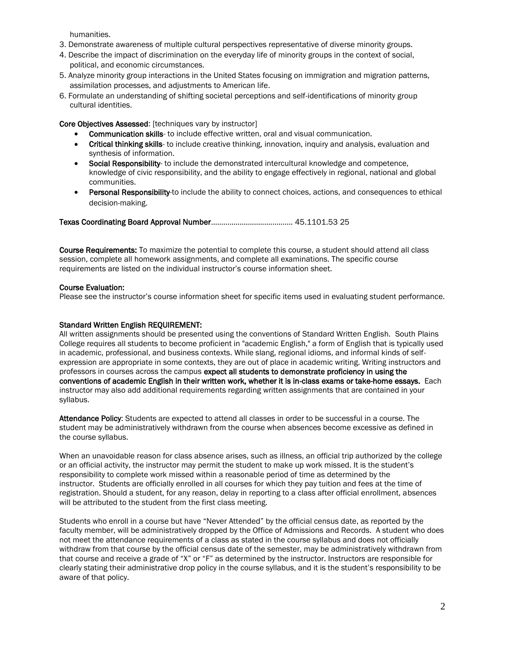humanities.

- 3. Demonstrate awareness of multiple cultural perspectives representative of diverse minority groups.
- 4. Describe the impact of discrimination on the everyday life of minority groups in the context of social, political, and economic circumstances.
- 5. Analyze minority group interactions in the United States focusing on immigration and migration patterns, assimilation processes, and adjustments to American life.
- 6. Formulate an understanding of shifting societal perceptions and self-identifications of minority group cultural identities.

Core Objectives Assessed: [techniques vary by instructor]

- Communication skills- to include effective written, oral and visual communication.
- Critical thinking skills- to include creative thinking, innovation, inquiry and analysis, evaluation and synthesis of information.
- Social Responsibility- to include the demonstrated intercultural knowledge and competence, knowledge of civic responsibility, and the ability to engage effectively in regional, national and global communities.
- Personal Responsibility-to include the ability to connect choices, actions, and consequences to ethical decision-making.

Texas Coordinating Board Approval Number……………………………….… 45.1101.53 25

Course Requirements: To maximize the potential to complete this course, a student should attend all class session, complete all homework assignments, and complete all examinations. The specific course requirements are listed on the individual instructor's course information sheet.

#### Course Evaluation:

Please see the instructor's course information sheet for specific items used in evaluating student performance.

#### Standard Written English REQUIREMENT:

All written assignments should be presented using the conventions of Standard Written English. South Plains College requires all students to become proficient in "academic English," a form of English that is typically used in academic, professional, and business contexts. While slang, regional idioms, and informal kinds of selfexpression are appropriate in some contexts, they are out of place in academic writing. Writing instructors and professors in courses across the campus expect all students to demonstrate proficiency in using the conventions of academic English in their written work, whether it is in-class exams or take-home essays. Each instructor may also add additional requirements regarding written assignments that are contained in your syllabus.

Attendance Policy: Students are expected to attend all classes in order to be successful in a course. The student may be administratively withdrawn from the course when absences become excessive as defined in the course syllabus.

When an unavoidable reason for class absence arises, such as illness, an official trip authorized by the college or an official activity, the instructor may permit the student to make up work missed. It is the student's responsibility to complete work missed within a reasonable period of time as determined by the instructor. Students are officially enrolled in all courses for which they pay tuition and fees at the time of registration. Should a student, for any reason, delay in reporting to a class after official enrollment, absences will be attributed to the student from the first class meeting.

Students who enroll in a course but have "Never Attended" by the official census date, as reported by the faculty member, will be administratively dropped by the Office of Admissions and Records. A student who does not meet the attendance requirements of a class as stated in the course syllabus and does not officially withdraw from that course by the official census date of the semester, may be administratively withdrawn from that course and receive a grade of "X" or "F" as determined by the instructor. Instructors are responsible for clearly stating their administrative drop policy in the course syllabus, and it is the student's responsibility to be aware of that policy.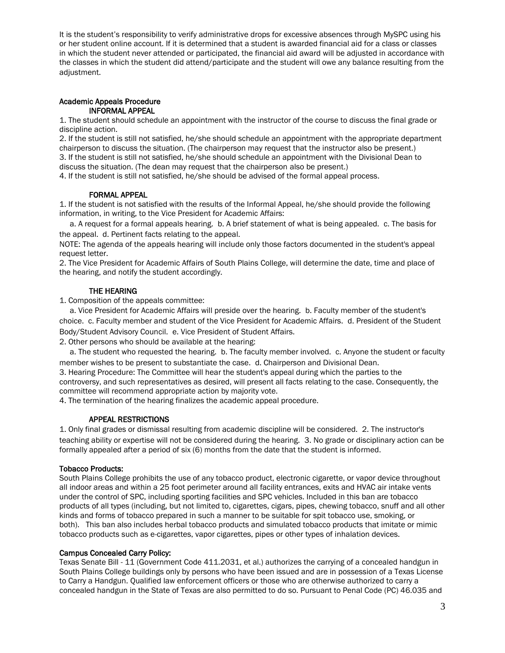It is the student's responsibility to verify administrative drops for excessive absences through MySPC using his or her student online account. If it is determined that a student is awarded financial aid for a class or classes in which the student never attended or participated, the financial aid award will be adjusted in accordance with the classes in which the student did attend/participate and the student will owe any balance resulting from the adjustment.

#### Academic Appeals Procedure INFORMAL APPEAL

1. The student should schedule an appointment with the instructor of the course to discuss the final grade or discipline action.

2. If the student is still not satisfied, he/she should schedule an appointment with the appropriate department chairperson to discuss the situation. (The chairperson may request that the instructor also be present.) 3. If the student is still not satisfied, he/she should schedule an appointment with the Divisional Dean to discuss the situation. (The dean may request that the chairperson also be present.)

4. If the student is still not satisfied, he/she should be advised of the formal appeal process.

#### FORMAL APPEAL

1. If the student is not satisfied with the results of the Informal Appeal, he/she should provide the following information, in writing, to the Vice President for Academic Affairs:

 a. A request for a formal appeals hearing. b. A brief statement of what is being appealed. c. The basis for the appeal. d. Pertinent facts relating to the appeal.

NOTE: The agenda of the appeals hearing will include only those factors documented in the student's appeal request letter.

2. The Vice President for Academic Affairs of South Plains College, will determine the date, time and place of the hearing, and notify the student accordingly.

#### THE HEARING

1. Composition of the appeals committee:

 a. Vice President for Academic Affairs will preside over the hearing. b. Faculty member of the student's choice. c. Faculty member and student of the Vice President for Academic Affairs. d. President of the Student Body/Student Advisory Council. e. Vice President of Student Affairs.

2. Other persons who should be available at the hearing:

 a. The student who requested the hearing. b. The faculty member involved. c. Anyone the student or faculty member wishes to be present to substantiate the case. d. Chairperson and Divisional Dean.

3. Hearing Procedure: The Committee will hear the student's appeal during which the parties to the controversy, and such representatives as desired, will present all facts relating to the case. Consequently, the committee will recommend appropriate action by majority vote.

4. The termination of the hearing finalizes the academic appeal procedure.

#### APPEAL RESTRICTIONS

1. Only final grades or dismissal resulting from academic discipline will be considered. 2. The instructor's teaching ability or expertise will not be considered during the hearing. 3. No grade or disciplinary action can be formally appealed after a period of six (6) months from the date that the student is informed.

#### Tobacco Products:

South Plains College prohibits the use of any tobacco product, electronic cigarette, or vapor device throughout all indoor areas and within a 25 foot perimeter around all facility entrances, exits and HVAC air intake vents under the control of SPC, including sporting facilities and SPC vehicles. Included in this ban are tobacco products of all types (including, but not limited to, cigarettes, cigars, pipes, chewing tobacco, snuff and all other kinds and forms of tobacco prepared in such a manner to be suitable for spit tobacco use, smoking, or both). This ban also includes herbal tobacco products and simulated tobacco products that imitate or mimic tobacco products such as e-cigarettes, vapor cigarettes, pipes or other types of inhalation devices.

#### Campus Concealed Carry Policy:

Texas Senate Bill - 11 (Government Code 411.2031, et al.) authorizes the carrying of a concealed handgun in South Plains College buildings only by persons who have been issued and are in possession of a Texas License to Carry a Handgun. Qualified law enforcement officers or those who are otherwise authorized to carry a concealed handgun in the State of Texas are also permitted to do so. Pursuant to Penal Code (PC) 46.035 and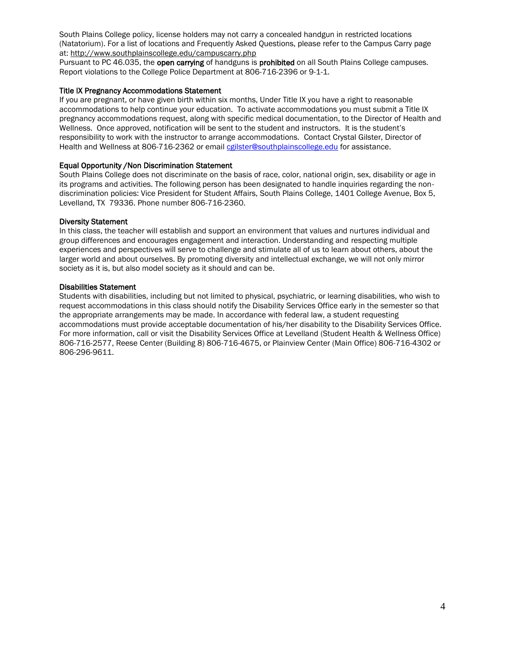South Plains College policy, license holders may not carry a concealed handgun in restricted locations (Natatorium). For a list of locations and Frequently Asked Questions, please refer to the Campus Carry page at: <http://www.southplainscollege.edu/campuscarry.php>

Pursuant to PC 46.035, the open carrying of handguns is prohibited on all South Plains College campuses. Report violations to the College Police Department at 806-716-2396 or 9-1-1.

#### Title IX Pregnancy Accommodations Statement

If you are pregnant, or have given birth within six months, Under Title IX you have a right to reasonable accommodations to help continue your education. To activate accommodations you must submit a Title IX pregnancy accommodations request, along with specific medical documentation, to the Director of Health and Wellness. Once approved, notification will be sent to the student and instructors. It is the student's responsibility to work with the instructor to arrange accommodations. Contact Crystal Gilster, Director of Health and Wellness at 806-716-2362 or email [cgilster@southplainscollege.edu](mailto:cgilster@southplainscollege.edu) for assistance.

#### Equal Opportunity /Non Discrimination Statement

South Plains College does not discriminate on the basis of race, color, national origin, sex, disability or age in its programs and activities. The following person has been designated to handle inquiries regarding the nondiscrimination policies: Vice President for Student Affairs, South Plains College, 1401 College Avenue, Box 5, Levelland, TX 79336. Phone number 806-716-2360.

#### Diversity Statement

In this class, the teacher will establish and support an environment that values and nurtures individual and group differences and encourages engagement and interaction. Understanding and respecting multiple experiences and perspectives will serve to challenge and stimulate all of us to learn about others, about the larger world and about ourselves. By promoting diversity and intellectual exchange, we will not only mirror society as it is, but also model society as it should and can be.

#### Disabilities Statement

Students with disabilities, including but not limited to physical, psychiatric, or learning disabilities, who wish to request accommodations in this class should notify the Disability Services Office early in the semester so that the appropriate arrangements may be made. In accordance with federal law, a student requesting accommodations must provide acceptable documentation of his/her disability to the Disability Services Office. For more information, call or visit the Disability Services Office at Levelland (Student Health & Wellness Office) 806-716-2577, Reese Center (Building 8) 806-716-4675, or Plainview Center (Main Office) 806-716-4302 or 806-296-9611.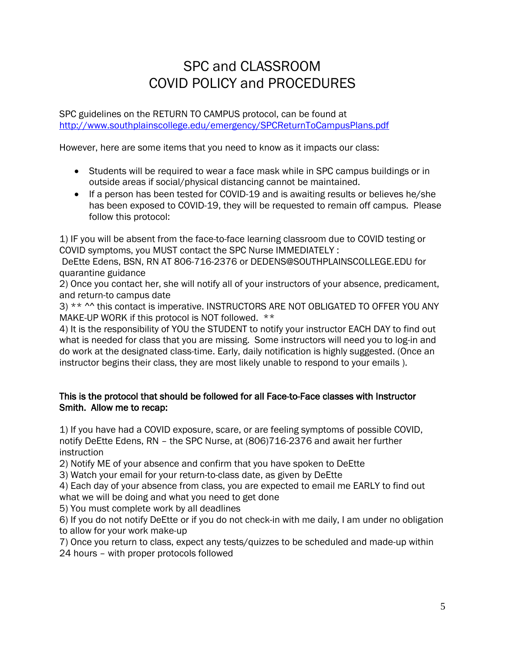## SPC and CLASSROOM COVID POLICY and PROCEDURES

SPC guidelines on the RETURN TO CAMPUS protocol, can be found at <http://www.southplainscollege.edu/emergency/SPCReturnToCampusPlans.pdf>

However, here are some items that you need to know as it impacts our class:

- Students will be required to wear a face mask while in SPC campus buildings or in outside areas if social/physical distancing cannot be maintained.
- If a person has been tested for COVID-19 and is awaiting results or believes he/she has been exposed to COVID-19, they will be requested to remain off campus. Please follow this protocol:

1) IF you will be absent from the face-to-face learning classroom due to COVID testing or COVID symptoms, you MUST contact the SPC Nurse IMMEDIATELY :

DeEtte Edens, BSN, RN AT 806-716-2376 or DEDENS@SOUTHPLAINSCOLLEGE.EDU for quarantine guidance

2) Once you contact her, she will notify all of your instructors of your absence, predicament, and return-to campus date

3) \*\* ^^ this contact is imperative. INSTRUCTORS ARE NOT OBLIGATED TO OFFER YOU ANY MAKE-UP WORK if this protocol is NOT followed. \*\*

4) It is the responsibility of YOU the STUDENT to notify your instructor EACH DAY to find out what is needed for class that you are missing. Some instructors will need you to log-in and do work at the designated class-time. Early, daily notification is highly suggested. (Once an instructor begins their class, they are most likely unable to respond to your emails ).

## This is the protocol that should be followed for all Face-to-Face classes with Instructor Smith. Allow me to recap:

1) If you have had a COVID exposure, scare, or are feeling symptoms of possible COVID, notify DeEtte Edens, RN – the SPC Nurse, at (806)716-2376 and await her further instruction

2) Notify ME of your absence and confirm that you have spoken to DeEtte

3) Watch your email for your return-to-class date, as given by DeEtte

4) Each day of your absence from class, you are expected to email me EARLY to find out what we will be doing and what you need to get done

5) You must complete work by all deadlines

6) If you do not notify DeEtte or if you do not check-in with me daily, I am under no obligation to allow for your work make-up

7) Once you return to class, expect any tests/quizzes to be scheduled and made-up within 24 hours – with proper protocols followed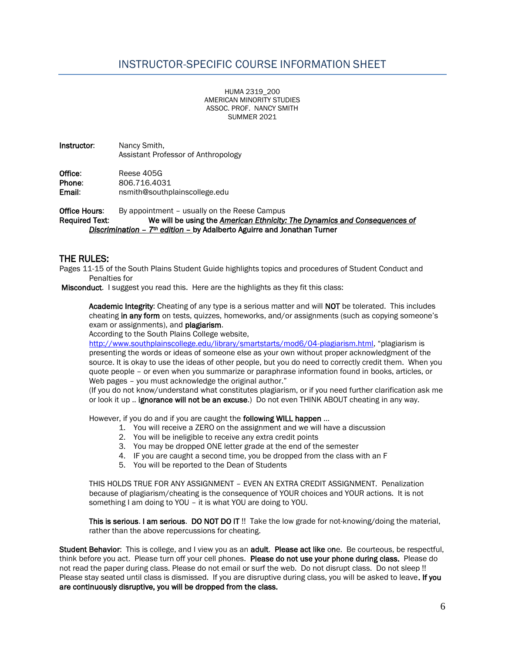HUMA 2319\_200 AMERICAN MINORITY STUDIES ASSOC. PROF. NANCY SMITH SUMMER 2021

Instructor: Nancy Smith, Assistant Professor of Anthropology

Office: Reese 405G Phone: 806.716.4031 Email: nsmith@southplainscollege.edu

**Office Hours:** By appointment – usually on the Reese Campus Required Text: We will be using the *American Ethnicity: The Dynamics and Consequences of Discrimination – 7th edition* – by Adalberto Aguirre and Jonathan Turner

#### THE RULES:

Pages 11-15 of the South Plains Student Guide highlights topics and procedures of Student Conduct and Penalties for

Misconduct. I suggest you read this. Here are the highlights as they fit this class:

Academic Integrity: Cheating of any type is a serious matter and will NOT be tolerated. This includes cheating in any form on tests, quizzes, homeworks, and/or assignments (such as copying someone's exam or assignments), and **plagiarism**.

According to the South Plains College website,

<http://www.southplainscollege.edu/library/smartstarts/mod6/04-plagiarism.html>, "plagiarism is presenting the words or ideas of someone else as your own without proper acknowledgment of the source. It is okay to use the ideas of other people, but you do need to correctly credit them. When you quote people – or even when you summarize or paraphrase information found in books, articles, or Web pages – you must acknowledge the original author."

(If you do not know/understand what constitutes plagiarism, or if you need further clarification ask me or look it up .. ignorance will not be an excuse.) Do not even THINK ABOUT cheating in any way.

However, if you do and if you are caught the **following WILL happen** ...

- 1. You will receive a ZERO on the assignment and we will have a discussion
- 2. You will be ineligible to receive any extra credit points
- 3. You may be dropped ONE letter grade at the end of the semester
- 4. IF you are caught a second time, you be dropped from the class with an F
- 5. You will be reported to the Dean of Students

THIS HOLDS TRUE FOR ANY ASSIGNMENT – EVEN AN EXTRA CREDIT ASSIGNMENT. Penalization because of plagiarism/cheating is the consequence of YOUR choices and YOUR actions. It is not something I am doing to YOU – it is what YOU are doing to YOU.

This is serious. I am serious. DO NOT DO IT !! Take the low grade for not-knowing/doing the material, rather than the above repercussions for cheating.

Student Behavior: This is college, and I view you as an adult. Please act like one. Be courteous, be respectful, think before you act. Please turn off your cell phones. Please do not use your phone during class. Please do not read the paper during class. Please do not email or surf the web. Do not disrupt class. Do not sleep !! Please stay seated until class is dismissed. If you are disruptive during class, you will be asked to leave. If you are continuously disruptive, you will be dropped from the class.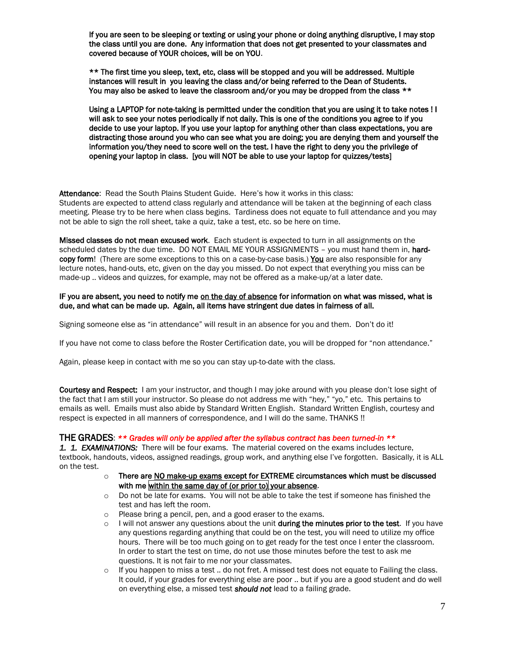If you are seen to be sleeping or texting or using your phone or doing anything disruptive, I may stop the class until you are done. Any information that does not get presented to your classmates and covered because of YOUR choices, will be on YOU.

\*\* The first time you sleep, text, etc, class will be stopped and you will be addressed. Multiple instances will result in you leaving the class and/or being referred to the Dean of Students. You may also be asked to leave the classroom and/or you may be dropped from the class \*\*

Using a LAPTOP for note-taking is permitted under the condition that you are using it to take notes ! I will ask to see your notes periodically if not daily. This is one of the conditions you agree to if you decide to use your laptop. If you use your laptop for anything other than class expectations, you are distracting those around you who can see what you are doing; you are denying them and yourself the information you/they need to score well on the test. I have the right to deny you the privilege of opening your laptop in class. [you will NOT be able to use your laptop for quizzes/tests]

Attendance: Read the South Plains Student Guide. Here's how it works in this class: Students are expected to attend class regularly and attendance will be taken at the beginning of each class meeting. Please try to be here when class begins. Tardiness does not equate to full attendance and you may not be able to sign the roll sheet, take a quiz, take a test, etc. so be here on time.

Missed classes do not mean excused work. Each student is expected to turn in all assignments on the scheduled dates by the due time. DO NOT EMAIL ME YOUR ASSIGNMENTS - you must hand them in, hardcopy form! (There are some exceptions to this on a case-by-case basis.) You are also responsible for any lecture notes, hand-outs, etc, given on the day you missed. Do not expect that everything you miss can be made-up .. videos and quizzes, for example, may not be offered as a make-up/at a later date.

#### IF you are absent, you need to notify me on the day of absence for information on what was missed, what is due, and what can be made up. Again, all items have stringent due dates in fairness of all.

Signing someone else as "in attendance" will result in an absence for you and them. Don't do it!

If you have not come to class before the Roster Certification date, you will be dropped for "non attendance."

Again, please keep in contact with me so you can stay up-to-date with the class.

Courtesy and Respect: I am your instructor, and though I may joke around with you please don't lose sight of the fact that I am still your instructor. So please do not address me with "hey," "yo," etc. This pertains to emails as well. Emails must also abide by Standard Written English. Standard Written English, courtesy and respect is expected in all manners of correspondence, and I will do the same. THANKS !!

#### THE GRADES: *\*\* Grades will only be applied after the syllabus contract has been turned-in \*\**

*1. 1. EXAMINATIONS:* There will be four exams. The material covered on the exams includes lecture, textbook, handouts, videos, assigned readings, group work, and anything else I've forgotten. Basically, it is ALL on the test.

- $\circ$  There are NO make-up exams except for EXTREME circumstances which must be discussed with me within the same day of (or prior to) your absence.
- o Do not be late for exams. You will not be able to take the test if someone has finished the test and has left the room.
- o Please bring a pencil, pen, and a good eraser to the exams.
- $\circ$  I will not answer any questions about the unit during the minutes prior to the test. If you have any questions regarding anything that could be on the test, you will need to utilize my office hours. There will be too much going on to get ready for the test once I enter the classroom. In order to start the test on time, do not use those minutes before the test to ask me questions. It is not fair to me nor your classmates.
- $\circ$  If you happen to miss a test .. do not fret. A missed test does not equate to Failing the class. It could, if your grades for everything else are poor .. but if you are a good student and do well on everything else, a missed test *should not* lead to a failing grade.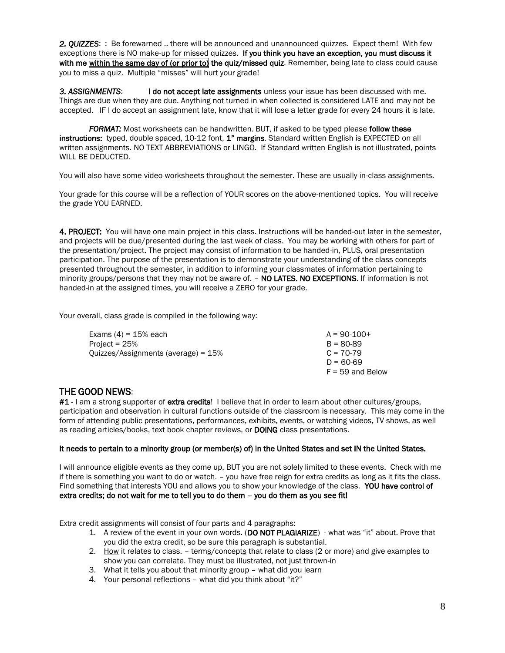*2. QUIZZES*: : Be forewarned .. there will be announced and unannounced quizzes. Expect them! With few exceptions there is NO make-up for missed quizzes. If you think you have an exception, you must discuss it with me within the same day of (or prior to) the quiz/missed quiz. Remember, being late to class could cause you to miss a quiz. Multiple "misses" will hurt your grade!

*3. ASSIGNMENTS*: I do not accept late assignments unless your issue has been discussed with me. Things are due when they are due. Anything not turned in when collected is considered LATE and may not be accepted. IF I do accept an assignment late, know that it will lose a letter grade for every 24 hours it is late.

*FORMAT:* Most worksheets can be handwritten. BUT, if asked to be typed please follow these instructions: typed, double spaced, 10-12 font, 1" margins. Standard written English is EXPECTED on all written assignments. NO TEXT ABBREVIATIONS or LINGO. If Standard written English is not illustrated, points WILL BE DEDUCTED.

You will also have some video worksheets throughout the semester. These are usually in-class assignments.

Your grade for this course will be a reflection of YOUR scores on the above-mentioned topics. You will receive the grade YOU EARNED.

4. PROJECT: You will have one main project in this class. Instructions will be handed-out later in the semester, and projects will be due/presented during the last week of class. You may be working with others for part of the presentation/project. The project may consist of information to be handed-in, PLUS, oral presentation participation. The purpose of the presentation is to demonstrate your understanding of the class concepts presented throughout the semester, in addition to informing your classmates of information pertaining to minority groups/persons that they may not be aware of. – NO LATES. NO EXCEPTIONS. If information is not handed-in at the assigned times, you will receive a ZERO for your grade.

Your overall, class grade is compiled in the following way:

| Exams $(4) = 15%$ each                 | $A = 90-100+$      |
|----------------------------------------|--------------------|
| Project = $25%$                        | $B = 80-89$        |
| Ouizzes/Assignments (average) = $15\%$ | $C = 70-79$        |
|                                        | D = 60-69          |
|                                        | $F = 59$ and Below |

### THE GOOD NEWS:

#1 - I am a strong supporter of extra credits! I believe that in order to learn about other cultures/groups, participation and observation in cultural functions outside of the classroom is necessary. This may come in the form of attending public presentations, performances, exhibits, events, or watching videos, TV shows, as well as reading articles/books, text book chapter reviews, or DOING class presentations.

#### It needs to pertain to a minority group (or member(s) of) in the United States and set IN the United States.

I will announce eligible events as they come up, BUT you are not solely limited to these events. Check with me if there is something you want to do or watch. – you have free reign for extra credits as long as it fits the class. Find something that interests YOU and allows you to show your knowledge of the class. YOU have control of extra credits; do not wait for me to tell you to do them – you do them as you see fit!

Extra credit assignments will consist of four parts and 4 paragraphs:

- 1. A review of the event in your own words. (DO NOT PLAGIARIZE) what was "it" about. Prove that you did the extra credit, so be sure this paragraph is substantial.
- 2. How it relates to class. terms/concepts that relate to class (2 or more) and give examples to show you can correlate. They must be illustrated, not just thrown-in
- 3. What it tells you about that minority group what did you learn
- 4. Your personal reflections what did you think about "it?"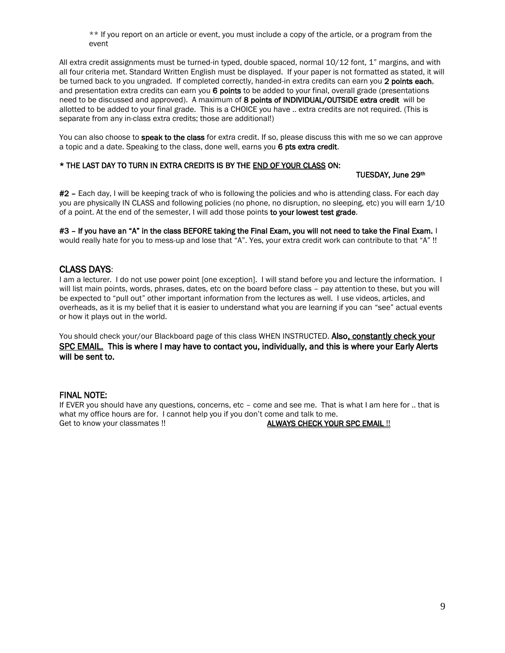\*\* If you report on an article or event, you must include a copy of the article, or a program from the event

All extra credit assignments must be turned-in typed, double spaced, normal 10/12 font, 1" margins, and with all four criteria met. Standard Written English must be displayed. If your paper is not formatted as stated, it will be turned back to you ungraded. If completed correctly, handed-in extra credits can earn you 2 points each, and presentation extra credits can earn you 6 points to be added to your final, overall grade (presentations need to be discussed and approved). A maximum of 8 points of INDIVIDUAL/OUTSIDE extra credit will be allotted to be added to your final grade. This is a CHOICE you have .. extra credits are not required. (This is separate from any in-class extra credits; those are additional!)

You can also choose to **speak to the class** for extra credit. If so, please discuss this with me so we can approve a topic and a date. Speaking to the class, done well, earns you 6 pts extra credit.

#### \* THE LAST DAY TO TURN IN EXTRA CREDITS IS BY THE END OF YOUR CLASS ON:

TUESDAY, June 29th

#2 – Each day, I will be keeping track of who is following the policies and who is attending class. For each day you are physically IN CLASS and following policies (no phone, no disruption, no sleeping, etc) you will earn 1/10 of a point. At the end of the semester, I will add those points to your lowest test grade.

#3 - If you have an "A" in the class BEFORE taking the Final Exam, you will not need to take the Final Exam. I would really hate for you to mess-up and lose that "A". Yes, your extra credit work can contribute to that "A" !!

### CLASS DAYS:

I am a lecturer. I do not use power point [one exception]. I will stand before you and lecture the information. I will list main points, words, phrases, dates, etc on the board before class – pay attention to these, but you will be expected to "pull out" other important information from the lectures as well. I use videos, articles, and overheads, as it is my belief that it is easier to understand what you are learning if you can "see" actual events or how it plays out in the world.

You should check your/our Blackboard page of this class WHEN INSTRUCTED. Also, constantly check your SPC EMAIL. This is where I may have to contact you, individually, and this is where your Early Alerts will be sent to.

#### FINAL NOTE:

If EVER you should have any questions, concerns, etc – come and see me. That is what I am here for .. that is what my office hours are for. I cannot help you if you don't come and talk to me. Get to know your classmates !! ALWAYS CHECK YOUR SPC EMAIL !!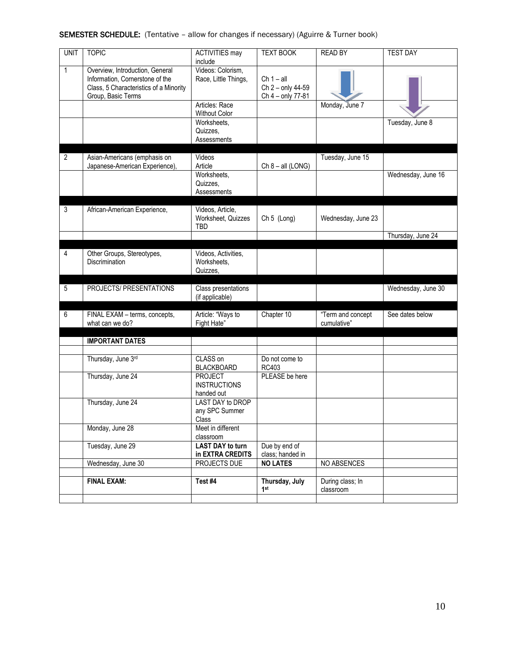## SEMESTER SCHEDULE: (Tentative – allow for changes if necessary) (Aguirre & Turner book)

| <b>UNIT</b>    | <b>TOPIC</b>                                                                                                                       | <b>ACTIVITIES may</b><br>include                     | <b>TEXT BOOK</b>                                       | <b>READ BY</b>                   | <b>TEST DAY</b>    |
|----------------|------------------------------------------------------------------------------------------------------------------------------------|------------------------------------------------------|--------------------------------------------------------|----------------------------------|--------------------|
| 1              | Overview, Introduction, General<br>Information, Cornerstone of the<br>Class, 5 Characteristics of a Minority<br>Group, Basic Terms | Videos: Colorism,<br>Race, Little Things,            | $Ch 1 - all$<br>Ch 2 - only 44-59<br>Ch 4 - only 77-81 |                                  |                    |
|                |                                                                                                                                    | Articles: Race<br>Without Color                      |                                                        | Monday, June 7                   |                    |
|                |                                                                                                                                    | Worksheets,<br>Quizzes,<br>Assessments               |                                                        |                                  | Tuesday, June 8    |
| $\overline{2}$ | Asian-Americans (emphasis on<br>Japanese-American Experience),                                                                     | Videos<br>Article                                    | $Ch 8 - all (LONG)$                                    | Tuesday, June 15                 |                    |
|                |                                                                                                                                    | Worksheets,<br>Quizzes,<br>Assessments               |                                                        |                                  | Wednesday, June 16 |
| 3              | African-American Experience,                                                                                                       | Videos, Article,<br>Worksheet, Quizzes<br><b>TBD</b> | Ch 5 (Long)                                            | Wednesday, June 23               |                    |
|                |                                                                                                                                    |                                                      |                                                        |                                  | Thursday, June 24  |
| $\overline{4}$ | Other Groups, Stereotypes,<br><b>Discrimination</b>                                                                                | Videos, Activities,<br>Worksheets,<br>Quizzes,       |                                                        |                                  |                    |
| 5              | PROJECTS/ PRESENTATIONS                                                                                                            | Class presentations<br>(if applicable)               |                                                        |                                  | Wednesday, June 30 |
| 6              | FINAL EXAM - terms, concepts,<br>what can we do?                                                                                   | Article: "Ways to<br>Fight Hate"                     | Chapter 10                                             | "Term and concept<br>cumulative" | See dates below    |
|                | <b>IMPORTANT DATES</b>                                                                                                             |                                                      |                                                        |                                  |                    |
|                | Thursday, June 3rd                                                                                                                 | CLASS on<br><b>BLACKBOARD</b>                        | Do not come to<br>RC403                                |                                  |                    |
|                | Thursday, June 24                                                                                                                  | <b>PROJECT</b><br><b>INSTRUCTIONS</b><br>handed out  | PLEASE be here                                         |                                  |                    |
|                | Thursday, June 24                                                                                                                  | <b>LAST DAY to DROP</b><br>any SPC Summer<br>Class   |                                                        |                                  |                    |
|                | Monday, June 28                                                                                                                    | Meet in different<br>classroom                       |                                                        |                                  |                    |
|                | Tuesday, June 29                                                                                                                   | <b>LAST DAY to turn</b><br>in EXTRA CREDITS          | Due by end of<br>class; handed in                      |                                  |                    |
|                | Wednesday, June 30                                                                                                                 | PROJECTS DUE                                         | <b>NO LATES</b>                                        | NO ABSENCES                      |                    |
|                | <b>FINAL EXAM:</b>                                                                                                                 | Test #4                                              | Thursday, July<br>1st                                  | During class; In<br>classroom    |                    |
|                |                                                                                                                                    |                                                      |                                                        |                                  |                    |